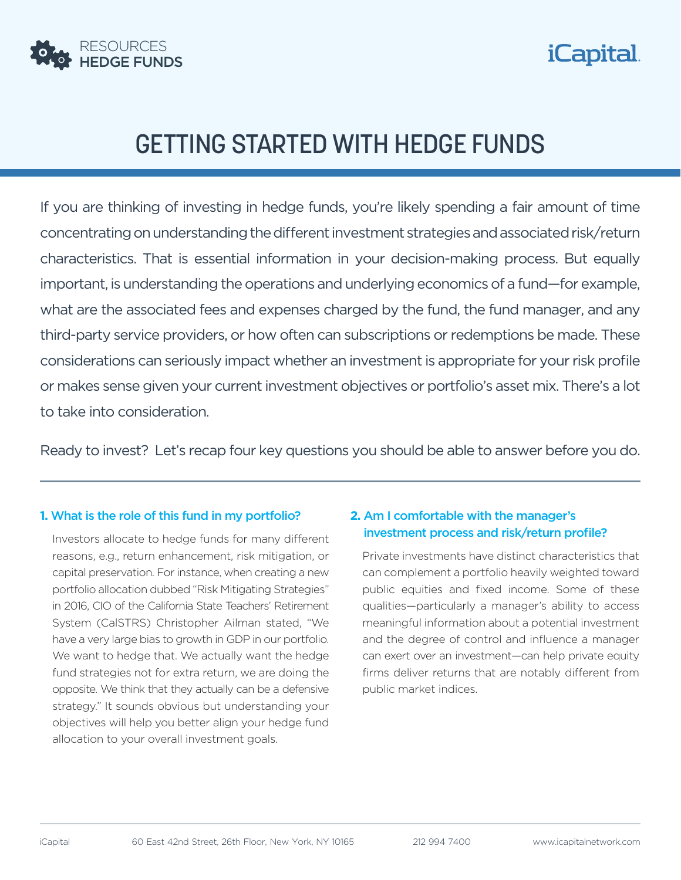



# GETTING STARTED WITH HEDGE FUNDS

If you are thinking of investing in hedge funds, you're likely spending a fair amount of time concentrating on understanding the different investment strategies and associated risk/return characteristics. That is essential information in your decision-making process. But equally important, is understanding the operations and underlying economics of a fund—for example, what are the associated fees and expenses charged by the fund, the fund manager, and any third-party service providers, or how often can subscriptions or redemptions be made. These considerations can seriously impact whether an investment is appropriate for your risk profile or makes sense given your current investment objectives or portfolio's asset mix. There's a lot to take into consideration.

Ready to invest? Let's recap four key questions you should be able to answer before you do.

#### **1.** What is the role of this fund in my portfolio?

Investors allocate to hedge funds for many different reasons, e.g., return enhancement, risk mitigation, or capital preservation. For instance, when creating a new portfolio allocation dubbed "Risk Mitigating Strategies" in 2016, CIO of the California State Teachers' Retirement System (CalSTRS) Christopher Ailman stated, "We have a very large bias to growth in GDP in our portfolio. We want to hedge that. We actually want the hedge fund strategies not for extra return, we are doing the opposite. We think that they actually can be a defensive strategy." It sounds obvious but understanding your objectives will help you better align your hedge fund allocation to your overall investment goals.

## **2.** Am I comfortable with the manager's investment process and risk/return profile?

Private investments have distinct characteristics that can complement a portfolio heavily weighted toward public equities and fixed income. Some of these qualities—particularly a manager's ability to access meaningful information about a potential investment and the degree of control and influence a manager can exert over an investment—can help private equity firms deliver returns that are notably different from public market indices.